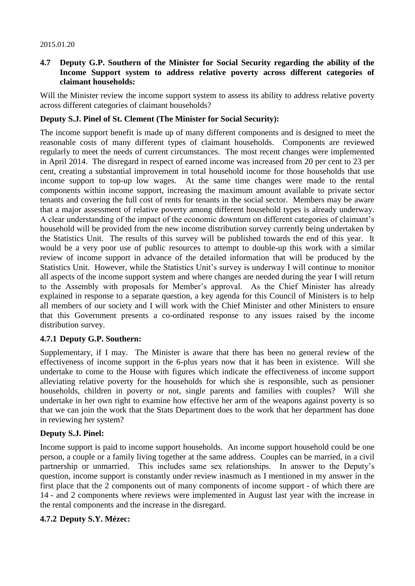#### 2015.01.20

### **4.7 Deputy G.P. Southern of the Minister for Social Security regarding the ability of the Income Support system to address relative poverty across different categories of claimant households:**

Will the Minister review the income support system to assess its ability to address relative poverty across different categories of claimant households?

### **Deputy S.J. Pinel of St. Clement (The Minister for Social Security):**

The income support benefit is made up of many different components and is designed to meet the reasonable costs of many different types of claimant households. Components are reviewed regularly to meet the needs of current circumstances. The most recent changes were implemented in April 2014. The disregard in respect of earned income was increased from 20 per cent to 23 per cent, creating a substantial improvement in total household income for those households that use income support to top-up low wages. At the same time changes were made to the rental components within income support, increasing the maximum amount available to private sector tenants and covering the full cost of rents for tenants in the social sector. Members may be aware that a major assessment of relative poverty among different household types is already underway. A clear understanding of the impact of the economic downturn on different categories of claimant's household will be provided from the new income distribution survey currently being undertaken by the Statistics Unit. The results of this survey will be published towards the end of this year. It would be a very poor use of public resources to attempt to double-up this work with a similar review of income support in advance of the detailed information that will be produced by the Statistics Unit. However, while the Statistics Unit's survey is underway I will continue to monitor all aspects of the income support system and where changes are needed during the year I will return to the Assembly with proposals for Member's approval. As the Chief Minister has already explained in response to a separate question, a key agenda for this Council of Ministers is to help all members of our society and I will work with the Chief Minister and other Ministers to ensure that this Government presents a co-ordinated response to any issues raised by the income distribution survey.

## **4.7.1 Deputy G.P. Southern:**

Supplementary, if I may. The Minister is aware that there has been no general review of the effectiveness of income support in the 6-plus years now that it has been in existence. Will she undertake to come to the House with figures which indicate the effectiveness of income support alleviating relative poverty for the households for which she is responsible, such as pensioner households, children in poverty or not, single parents and families with couples? Will she undertake in her own right to examine how effective her arm of the weapons against poverty is so that we can join the work that the Stats Department does to the work that her department has done in reviewing her system?

## **Deputy S.J. Pinel:**

Income support is paid to income support households. An income support household could be one person, a couple or a family living together at the same address. Couples can be married, in a civil partnership or unmarried. This includes same sex relationships. In answer to the Deputy's question, income support is constantly under review inasmuch as I mentioned in my answer in the first place that the 2 components out of many components of income support - of which there are 14 - and 2 components where reviews were implemented in August last year with the increase in the rental components and the increase in the disregard.

#### **4.7.2 Deputy S.Y. Mézec:**